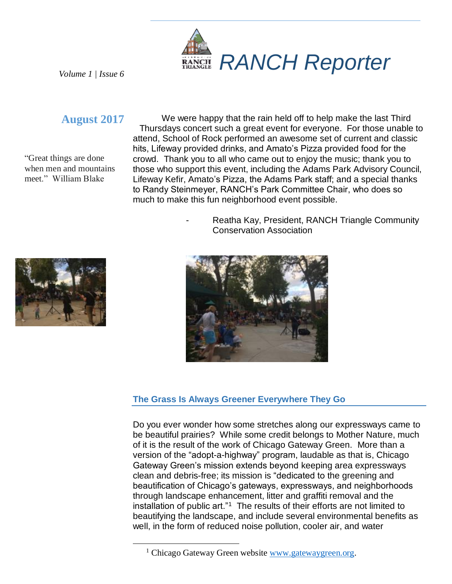

*Volume 1 | Issue 6*

# **August 2017**

"Great things are done when men and mountains meet." William Blake

We were happy that the rain held off to help make the last Third Thursdays concert such a great event for everyone. For those unable to attend, School of Rock performed an awesome set of current and classic hits, Lifeway provided drinks, and Amato's Pizza provided food for the crowd. Thank you to all who came out to enjoy the music; thank you to those who support this event, including the Adams Park Advisory Council, Lifeway Kefir, Amato's Pizza, the Adams Park staff; and a special thanks to Randy Steinmeyer, RANCH's Park Committee Chair, who does so much to make this fun neighborhood event possible.

> Reatha Kay, President, RANCH Triangle Community Conservation Association





## **The Grass Is Always Greener Everywhere They Go**

Do you ever wonder how some stretches along our expressways came to be beautiful prairies? While some credit belongs to Mother Nature, much of it is the result of the work of Chicago Gateway Green. More than a version of the "adopt-a-highway" program, laudable as that is, Chicago Gateway Green's mission extends beyond keeping area expressways clean and debris-free; its mission is "dedicated to the greening and beautification of Chicago's gateways, expressways, and neighborhoods through landscape enhancement, litter and graffiti removal and the installation of public art."<sup>1</sup> The results of their efforts are not limited to beautifying the landscape, and include several environmental benefits as well, in the form of reduced noise pollution, cooler air, and water

 $\overline{a}$ 

<sup>&</sup>lt;sup>1</sup> Chicago Gateway Green website [www.gatewaygreen.org.](http://www.gatewaygreen.org/)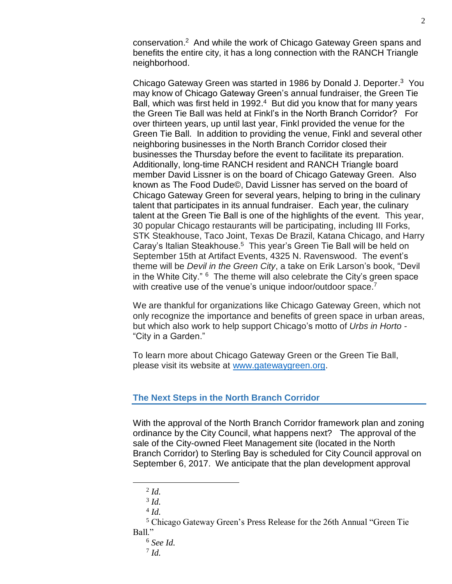conservation. <sup>2</sup> And while the work of Chicago Gateway Green spans and benefits the entire city, it has a long connection with the RANCH Triangle neighborhood.

Chicago Gateway Green was started in 1986 by Donald J. Deporter.<sup>3</sup> You may know of Chicago Gateway Green's annual fundraiser, the Green Tie Ball, which was first held in 1992.<sup>4</sup> But did you know that for many years the Green Tie Ball was held at Finkl's in the North Branch Corridor? For over thirteen years, up until last year, Finkl provided the venue for the Green Tie Ball. In addition to providing the venue, Finkl and several other neighboring businesses in the North Branch Corridor closed their businesses the Thursday before the event to facilitate its preparation. Additionally, long-time RANCH resident and RANCH Triangle board member David Lissner is on the board of Chicago Gateway Green. Also known as The Food Dude©, David Lissner has served on the board of Chicago Gateway Green for several years, helping to bring in the culinary talent that participates in its annual fundraiser. Each year, the culinary talent at the Green Tie Ball is one of the highlights of the event. This year, 30 popular Chicago restaurants will be participating, including III Forks, STK Steakhouse, Taco Joint, Texas De Brazil, Katana Chicago, and Harry Caray's Italian Steakhouse.<sup>5</sup> This year's Green Tie Ball will be held on September 15th at Artifact Events, 4325 N. Ravenswood. The event's theme will be *Devil in the Green City*, a take on Erik Larson's book, "Devil in the White City."  $6$  The theme will also celebrate the City's green space with creative use of the venue's unique indoor/outdoor space.<sup>7</sup>

We are thankful for organizations like Chicago Gateway Green, which not only recognize the importance and benefits of green space in urban areas, but which also work to help support Chicago's motto of *Urbs in Horto -* "City in a Garden."

To learn more about Chicago Gateway Green or the Green Tie Ball, please visit its website at [www.gatewaygreen.org.](http://www.gatewaygreen.org/)

### **The Next Steps in the North Branch Corridor**

With the approval of the North Branch Corridor framework plan and zoning ordinance by the City Council, what happens next? The approval of the sale of the City-owned Fleet Management site (located in the North Branch Corridor) to Sterling Bay is scheduled for City Council approval on September 6, 2017. We anticipate that the plan development approval

 $\overline{a}$ 

<sup>2</sup> *Id.*

<sup>3</sup> *Id.*

<sup>4</sup> *Id.*

<sup>5</sup> Chicago Gateway Green's Press Release for the 26th Annual "Green Tie Ball."

<sup>6</sup> *See Id.*

<sup>7</sup> *Id.*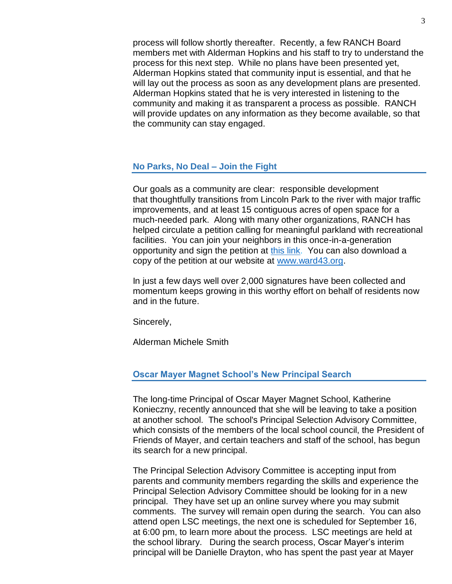process will follow shortly thereafter. Recently, a few RANCH Board members met with Alderman Hopkins and his staff to try to understand the process for this next step. While no plans have been presented yet, Alderman Hopkins stated that community input is essential, and that he will lay out the process as soon as any development plans are presented. Alderman Hopkins stated that he is very interested in listening to the community and making it as transparent a process as possible. RANCH will provide updates on any information as they become available, so that the community can stay engaged.

#### **No Parks, No Deal – Join the Fight**

Our goals as a community are clear: responsible development that thoughtfully transitions from Lincoln Park to the river with major traffic improvements, and at least 15 contiguous acres of open space for a much-needed park. Along with many other organizations, RANCH has helped circulate a petition calling for meaningful parkland with recreational facilities. You can join your neighbors in this once-in-a-generation opportunity and sign the petition at [this link.](http://survey.constantcontact.com/survey/a07eefkt83qj5ttodsz/_tmp/questions) You can also download a copy of the petition at our website at [www.ward43.org.](http://ward43.org/)

In just a few days well over 2,000 signatures have been collected and momentum keeps growing in this worthy effort on behalf of residents now and in the future.

Sincerely,

Alderman Michele Smith

#### **Oscar Mayer Magnet School's New Principal Search**

The long-time Principal of Oscar Mayer Magnet School, Katherine Konieczny, recently announced that she will be leaving to take a position at another school. The school's Principal Selection Advisory Committee, which consists of the members of the local school council, the President of Friends of Mayer, and certain teachers and staff of the school, has begun its search for a new principal.

The Principal Selection Advisory Committee is accepting input from parents and community members regarding the skills and experience the Principal Selection Advisory Committee should be looking for in a new principal. They have set up an online survey where you may submit comments. The survey will remain open during the search. You can also attend open LSC meetings, the next one is scheduled for September 16, at 6:00 pm, to learn more about the process. LSC meetings are held at the school library. During the search process, Oscar Mayer's interim principal will be Danielle Drayton, who has spent the past year at Mayer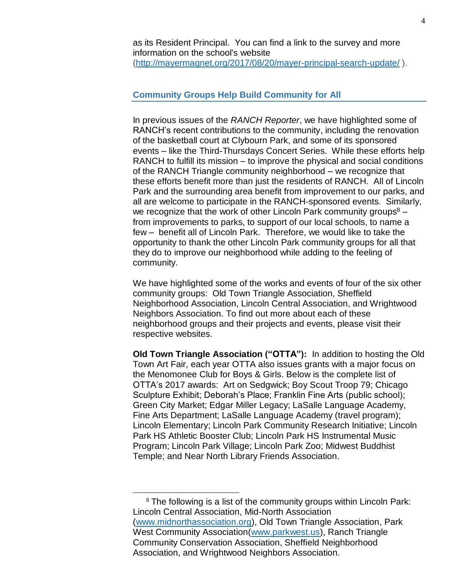as its Resident Principal. You can find a link to the survey and more information on the school's website [\(http://mayermagnet.org/2017/08/20/mayer-principal-search-update/](http://mayermagnet.org/2017/08/20/mayer-principal-search-update/) ).

## **Community Groups Help Build Community for All**

In previous issues of the *RANCH Reporter*, we have highlighted some of RANCH's recent contributions to the community, including the renovation of the basketball court at Clybourn Park, and some of its sponsored events – like the Third-Thursdays Concert Series. While these efforts help RANCH to fulfill its mission – to improve the physical and social conditions of the RANCH Triangle community neighborhood – we recognize that these efforts benefit more than just the residents of RANCH. All of Lincoln Park and the surrounding area benefit from improvement to our parks, and all are welcome to participate in the RANCH-sponsored events. Similarly, we recognize that the work of other Lincoln Park community groups $8$ from improvements to parks, to support of our local schools, to name a few – benefit all of Lincoln Park. Therefore, we would like to take the opportunity to thank the other Lincoln Park community groups for all that they do to improve our neighborhood while adding to the feeling of community.

We have highlighted some of the works and events of four of the six other community groups: Old Town Triangle Association, Sheffield Neighborhood Association, Lincoln Central Association, and Wrightwood Neighbors Association. To find out more about each of these neighborhood groups and their projects and events, please visit their respective websites.

**Old Town Triangle Association ("OTTA"):** In addition to hosting the Old Town Art Fair, each year OTTA also issues grants with a major focus on the Menomonee Club for Boys & Girls. Below is the complete list of OTTA's 2017 awards: Art on Sedgwick; Boy Scout Troop 79; Chicago Sculpture Exhibit; Deborah's Place; Franklin Fine Arts (public school); Green City Market; Edgar Miller Legacy; LaSalle Language Academy, Fine Arts Department; LaSalle Language Academy (travel program); Lincoln Elementary; Lincoln Park Community Research Initiative; Lincoln Park HS Athletic Booster Club; Lincoln Park HS Instrumental Music Program; Lincoln Park Village; Lincoln Park Zoo; Midwest Buddhist Temple; and Near North Library Friends Association.

 $\overline{a}$ 

<sup>8</sup> The following is a list of the community groups within Lincoln Park: Lincoln Central Association, Mid-North Association [\(www.midnorthassociation.org\)](http://www.midnorthassociation.org/), Old Town Triangle Association, Park West Community Association[\(www.parkwest.us\)](http://www.parkwest.us/), Ranch Triangle Community Conservation Association, Sheffield Neighborhood Association, and Wrightwood Neighbors Association.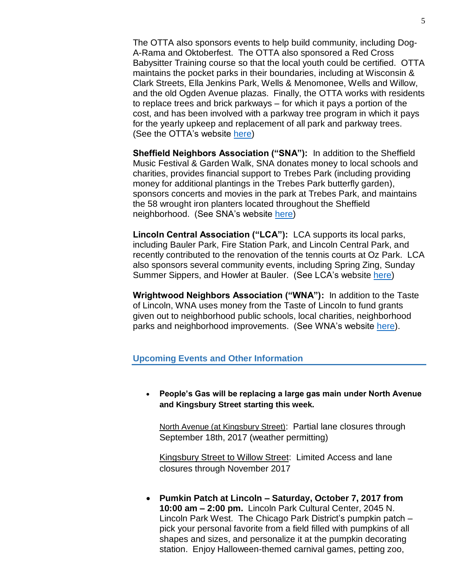The OTTA also sponsors events to help build community, including Dog-A-Rama and Oktoberfest. The OTTA also sponsored a Red Cross Babysitter Training course so that the local youth could be certified. OTTA maintains the pocket parks in their boundaries, including at Wisconsin & Clark Streets, Ella Jenkins Park, Wells & Menomonee, Wells and Willow, and the old Ogden Avenue plazas. Finally, the OTTA works with residents to replace trees and brick parkways – for which it pays a portion of the cost, and has been involved with a parkway tree program in which it pays for the yearly upkeep and replacement of all park and parkway trees. (See the OTTA's website [here\)](http://www.oldtowntriangle.com/)

**Sheffield Neighbors Association ("SNA"):** In addition to the Sheffield Music Festival & Garden Walk, SNA donates money to local schools and charities, provides financial support to Trebes Park (including providing money for additional plantings in the Trebes Park butterfly garden), sponsors concerts and movies in the park at Trebes Park, and maintains the 58 wrought iron planters located throughout the Sheffield neighborhood. (See SNA's website [here\)](http://www.sheffieldneighborhood.org/)

**Lincoln Central Association ("LCA"):** LCA supports its local parks, including Bauler Park, Fire Station Park, and Lincoln Central Park, and recently contributed to the renovation of the tennis courts at Oz Park. LCA also sponsors several community events, including Spring Zing, Sunday Summer Sippers, and Howler at Bauler. (See LCA's website [here\)](https://www.lincolncentral.org/)

**Wrightwood Neighbors Association ("WNA"):** In addition to the Taste of Lincoln, WNA uses money from the Taste of Lincoln to fund grants given out to neighborhood public schools, local charities, neighborhood parks and neighborhood improvements. (See WNA's website [here\)](http://www.wrightwoodneighbors.org/).

#### **Upcoming Events and Other Information**

• **People's Gas will be replacing a large gas main under North Avenue and Kingsbury Street starting this week.** 

North Avenue (at Kingsbury Street): Partial lane closures through September 18th, 2017 (weather permitting)

Kingsbury Street to Willow Street: Limited Access and lane closures through November 2017

• **Pumkin Patch at Lincoln – Saturday, October 7, 2017 from 10:00 am – 2:00 pm.** Lincoln Park Cultural Center, 2045 N. Lincoln Park West. The Chicago Park District's pumpkin patch – pick your personal favorite from a field filled with pumpkins of all shapes and sizes, and personalize it at the pumpkin decorating station. Enjoy Halloween-themed carnival games, petting zoo,